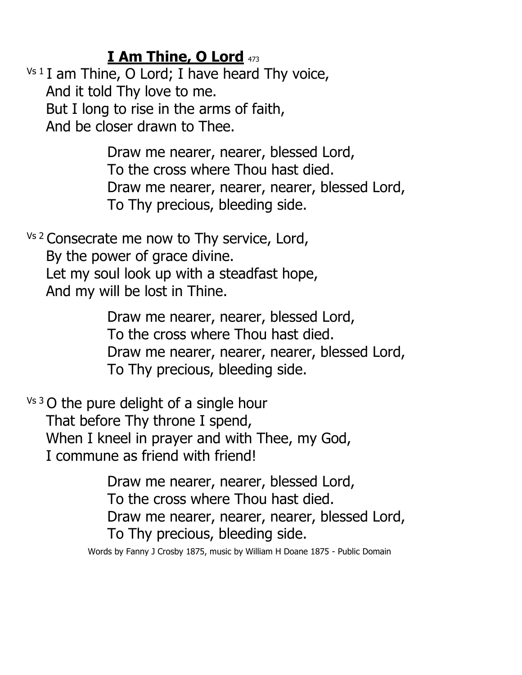## **I Am Thine, O Lord** <sup>473</sup>

 $Vs<sup>1</sup>$  I am Thine, O Lord; I have heard Thy voice, And it told Thy love to me. But I long to rise in the arms of faith, And be closer drawn to Thee.

> Draw me nearer, nearer, blessed Lord, To the cross where Thou hast died. Draw me nearer, nearer, nearer, blessed Lord, To Thy precious, bleeding side.

Vs 2 Consecrate me now to Thy service, Lord, By the power of grace divine. Let my soul look up with a steadfast hope, And my will be lost in Thine.

> Draw me nearer, nearer, blessed Lord, To the cross where Thou hast died. Draw me nearer, nearer, nearer, blessed Lord, To Thy precious, bleeding side.

 $Vs3O$  the pure delight of a single hour That before Thy throne I spend, When I kneel in prayer and with Thee, my God, I commune as friend with friend!

> Draw me nearer, nearer, blessed Lord, To the cross where Thou hast died. Draw me nearer, nearer, nearer, blessed Lord, To Thy precious, bleeding side.

Words by Fanny J Crosby 1875, music by William H Doane 1875 - Public Domain